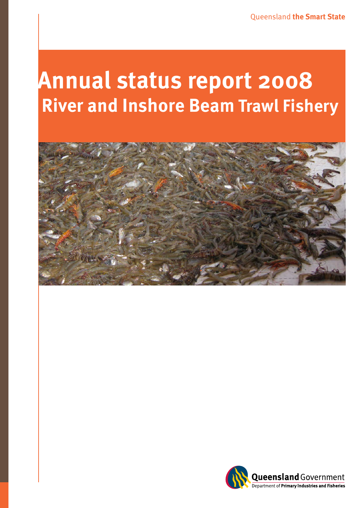# **Annual status report 2008 River and Inshore Beam**



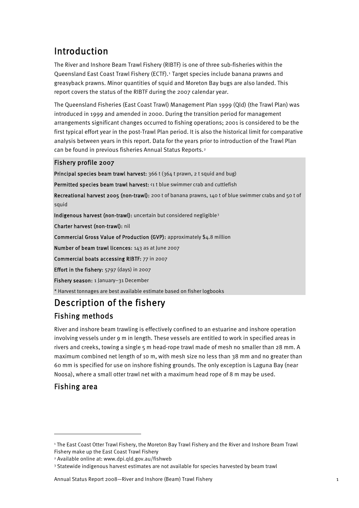# Introduction

The River and Inshore Beam Trawl Fishery (RIBTF) is one of three sub-fisheries within the Queensland East Coast Trawl Fishery (ECTF).[1](#page-1-0) Target species include banana prawns and greasyback prawns. Minor quantities of squid and Moreton Bay bugs are also landed. This report covers the status of the RIBTF during the 2007 calendar year.

The Queensland Fisheries (East Coast Trawl) Management Plan 1999 (Qld) (the Trawl Plan) was introduced in 1999 and amended in 2000. During the transition period for management arrangements significant changes occurred to fishing operations; 2001 is considered to be the first typical effort year in the post-Trawl Plan period. It is also the historical limit for comparative analysis between years in this report. Data for the years prior to introduction of the Trawl Plan can be found in previous fisheries Annual Status Reports.[2](#page-1-1)

#### Fishery profile 2007

Principal species beam trawl harvest: 366 t (364 t prawn, 2 t squid and bug)

Permitted species beam trawl harvest: <1 t blue swimmer crab and cuttlefish

Recreational harvest 2005 (non-trawl): 200 t of banana prawns, 140 t of blue swimmer crabs and 50 t of squid

Indigenous harvest (non-trawl): uncertain but considered negligible<sup>[3](#page-1-2)</sup>

Charter harvest (non-trawl): nil

Commercial Gross Value of Production (GVP): approximately \$4.8 million

Number of beam trawl licences: 143 as at June 2007

Commercial boats accessing RIBTF: 77 in 2007

Effort in the fishery: 5797 (days) in 2007

Fishery season: 1 January–31 December

\* Harvest tonnages are best available estimate based on fisher logbooks

# Description of the fishery Fishing methods

River and inshore beam trawling is effectively confined to an estuarine and inshore operation involving vessels under 9 m in length. These vessels are entitled to work in specified areas in rivers and creeks, towing a single 5 m head-rope trawl made of mesh no smaller than 28 mm. A maximum combined net length of 10 m, with mesh size no less than 38 mm and no greater than 60 mm is specified for use on inshore fishing grounds. The only exception is Laguna Bay (near Noosa), where a small otter trawl net with a maximum head rope of 8 m may be used.

## Fishing area

<span id="page-1-0"></span><sup>1</sup> The East Coast Otter Trawl Fishery, the Moreton Bay Trawl Fishery and the River and Inshore Beam Trawl Fishery make up the East Coast Trawl Fishery

<span id="page-1-1"></span><sup>2</sup> Available online at: www.dpi.qld.gov.au/fishweb

<span id="page-1-2"></span><sup>3</sup> Statewide indigenous harvest estimates are not available for species harvested by beam trawl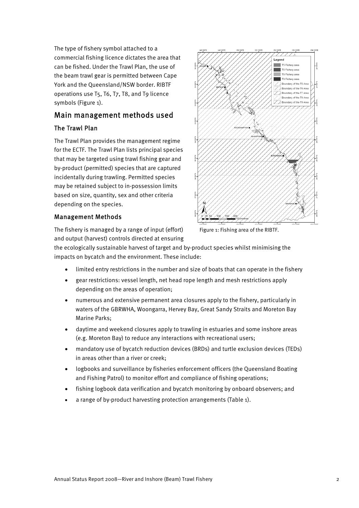The type of fishery symbol attached to a commercial fishing licence dictates the area that can be fished. Under the Trawl Plan, the use of the beam trawl gear is permitted between Cape York and the Queensland/NSW border. RIBTF operations use T5, T6, T7, T8, and T9 licence symbols (Figure 1).

# Main management methods used

#### The Trawl Plan

The Trawl Plan provides the management regime for the ECTF. The Trawl Plan lists principal species that may be targeted using trawl fishing gear and by-product (permitted) species that are captured incidentally during trawling. Permitted species may be retained subject to in-possession limits based on size, quantity, sex and other criteria depending on the species.

#### Management Methods

The fishery is managed by a range of input (effort) and output (harvest) controls directed at ensuring

the ecologically sustainable harvest of target and by-product species whilst minimising the impacts on bycatch and the environment. These include:

- limited entry restrictions in the number and size of boats that can operate in the fishery
- gear restrictions: vessel length, net head rope length and mesh restrictions apply depending on the areas of operation;
- numerous and extensive permanent area closures apply to the fishery, particularly in waters of the GBRWHA, Woongarra, Hervey Bay, Great Sandy Straits and Moreton Bay Marine Parks;
- daytime and weekend closures apply to trawling in estuaries and some inshore areas (e.g. Moreton Bay) to reduce any interactions with recreational users;
- mandatory use of bycatch reduction devices (BRDs) and turtle exclusion devices (TEDs) in areas other than a river or creek;
- logbooks and surveillance by fisheries enforcement officers (the Queensland Boating and Fishing Patrol) to monitor effort and compliance of fishing operations;
- fishing logbook data verification and bycatch monitoring by onboard observers; and
- a range of by-product harvesting protection arrangements (Table 1).



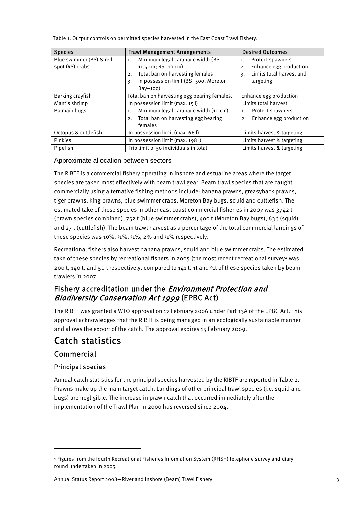Table 1: Output controls on permitted species harvested in the East Coast Trawl Fishery.

| <b>Species</b>          | <b>Trawl Management Arrangements</b>         | <b>Desired Outcomes</b>        |
|-------------------------|----------------------------------------------|--------------------------------|
| Blue swimmer (BS) & red | Minimum legal carapace width (BS-<br>1.      | Protect spawners<br>1.         |
| spot (RS) crabs         | 11.5 cm; $RS-10$ cm)                         | Enhance egg production<br>2.   |
|                         | Total ban on harvesting females<br>2.        | Limits total harvest and<br>3. |
|                         | In possession limit (BS-500; Moreton<br>3.   | targeting                      |
|                         | $Bay-100$                                    |                                |
| Barking crayfish        | Total ban on harvesting egg bearing females. | Enhance egg production         |
| Mantis shrimp           | In possession limit (max. $15 \text{ l}$ )   | Limits total harvest           |
| Balmain bugs            | Minimum legal carapace width (10 cm)<br>1.   | Protect spawners<br>1.         |
|                         | Total ban on harvesting egg bearing<br>2.    | Enhance egg production<br>2.   |
|                         | females                                      |                                |
| Octopus & cuttlefish    | In possession limit (max. 66 l)              | Limits harvest & targeting     |
| Pinkies                 | In possession limit (max. 198 l)             | Limits harvest & targeting     |
| Pipefish                | Trip limit of 50 individuals in total        | Limits harvest & targeting     |

#### Approximate allocation between sectors

The RIBTF is a commercial fishery operating in inshore and estuarine areas where the target species are taken most effectively with beam trawl gear. Beam trawl species that are caught commercially using alternative fishing methods include: banana prawns, greasyback prawns, tiger prawns, king prawns, blue swimmer crabs, Moreton Bay bugs, squid and cuttlefish. The estimated take of these species in other east coast commercial fisheries in 2007 was 3742 t (prawn species combined), 752 t (blue swimmer crabs), 400 t (Moreton Bay bugs), 63 t (squid) and 27 t (cuttlefish). The beam trawl harvest as a percentage of the total commercial landings of these species was 10%, <1%, <1%, 2% and <1% respectively.

Recreational fishers also harvest banana prawns, squid and blue swimmer crabs. The estimated take of these species by recreational fishers in 2005 (the most recent recreational survey<sup>[4](#page-3-0)</sup> was 200 t, 140 t, and 50 t respectively, compared to 141 t, 1t and <1t of these species taken by beam trawlers in 2007.

# Fishery accreditation under the Environment Protection and Biodiversity Conservation Act 1999 (EPBC Act)

The RIBTF was granted a WTO approval on 17 February 2006 under Part 13A of the EPBC Act. This approval acknowledges that the RIBTF is being managed in an ecologically sustainable manner and allows the export of the catch. The approval expires 15 February 2009.

# Catch statistics

## Commercial

### Principal species

Annual catch statistics for the principal species harvested by the RIBTF are reported in Table 2. Prawns make up the main target catch. Landings of other principal trawl species (i.e. squid and bugs) are negligible. The increase in prawn catch that occurred immediately after the implementation of the Trawl Plan in 2000 has reversed since 2004.

<span id="page-3-0"></span><sup>4</sup> Figures from the fourth Recreational Fisheries Information System (RFISH) telephone survey and diary round undertaken in 2005.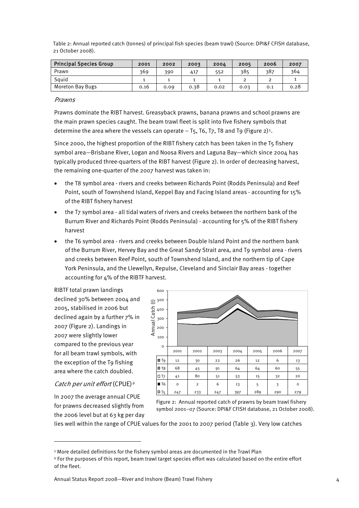Table 2: Annual reported catch (tonnes) of principal fish species (beam trawl) (Source: DPI&F CFISH database, 21 October 2008).

| <b>Principal Species Group</b> | 2001 | 2002 | 2003 | 2004 | 2005 | 2006 | 2007 |
|--------------------------------|------|------|------|------|------|------|------|
| Prawn                          | 369  | 390  | 417  | 552  | 385  | 387  | 364  |
| Sauid                          |      |      |      |      |      |      |      |
| <b>Moreton Bay Bugs</b>        | 0.16 | 0.09 | 0.38 | 0.02 | 0.03 | 0.1  | 0.28 |

#### Prawns

Prawns dominate the RIBT harvest. Greasyback prawns, banana prawns and school prawns are the main prawn species caught. The beam trawl fleet is split into five fishery symbols that determine the area where the vessels can operate  $-$  T[5](#page-4-0), T6, T7, T8 and T9 (Figure 2)<sup>5</sup>.

Since 2000, the highest proportion of the RIBT fishery catch has been taken in the T5 fishery symbol area—Brisbane River, Logan and Noosa Rivers and Laguna Bay—which since 2004 has typically produced three-quarters of the RIBT harvest (Figure 2). In order of decreasing harvest, the remaining one-quarter of the 2007 harvest was taken in:

- the T8 symbol area rivers and creeks between Richards Point (Rodds Peninsula) and Reef Point, south of Townshend Island, Keppel Bay and Facing Island areas - accounting for 15% of the RIBT fishery harvest
- the T7 symbol area all tidal waters of rivers and creeks between the northern bank of the Burrum River and Richards Point (Rodds Peninsula) - accounting for 5% of the RIBT fishery harvest
- the T6 symbol area rivers and creeks between Double Island Point and the northern bank of the Burrum River, Hervey Bay and the Great Sandy Strait area, and T9 symbol area - rivers and creeks between Reef Point, south of Townshend Island, and the northern tip of Cape York Peninsula, and the Llewellyn, Repulse, Cleveland and Sinclair Bay areas - together accounting for 4% of the RIBTF harvest.

RIBTF total prawn landings declined 30% between 2004 and 2005, stabilised in 2006 but declined again by a further 7% in 2007 (Figure 2). Landings in 2007 were slightly lower compared to the previous year for all beam trawl symbols, with the exception of the T9 fishing area where the catch doubled.

#### Catch per unit effort (CPUE)<sup>[6](#page-4-1)</sup>

In 2007 the average annual CPUE for prawns decreased slightly from the 2006 level but at 63 kg per day



Figure 2: Annual reported catch of prawns by beam trawl fishery symbol 2001–07 (Source: DPI&F CFISH database, 21 October 2008).

lies well within the range of CPUE values for the 2001 to 2007 period (Table 3). Very low catches

<span id="page-4-0"></span><sup>5</sup> More detailed definitions for the fishery symbol areas are documented in the Trawl Plan

<span id="page-4-1"></span><sup>6</sup> For the purposes of this report, beam trawl target species effort was calculated based on the entire effort of the fleet.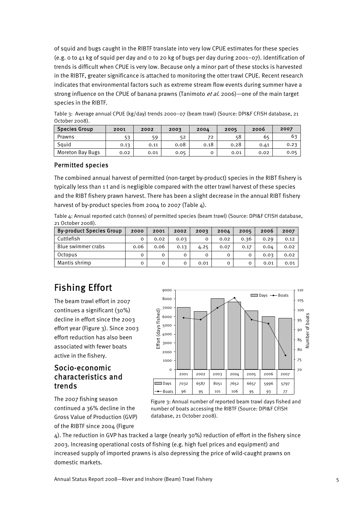of squid and bugs caught in the RIBTF translate into very low CPUE estimates for these species (e.g. 0 to 41 kg of squid per day and 0 to 20 kg of bugs per day during 2001–07). Identification of trends is difficult when CPUE is very low. Because only a minor part of these stocks is harvested in the RIBTF, greater significance is attached to monitoring the otter trawl CPUE. Recent research indicates that environmental factors such as extreme stream flow events during summer have a strong influence on the CPUE of banana prawns (Tanimoto et al. 2006)—one of the main target species in the RIBTF.

Table 3: Average annual CPUE (kg/day) trends 2000–07 (beam trawl) (Source: DPI&F CFISH database, 21 October 2008).

| <b>Species Group</b> | 2001 | 2002 | 2003 | 2004 | 2005 | 2006 | 2007 |
|----------------------|------|------|------|------|------|------|------|
| Prawns               | ヒつ   | 59   | 52   | 72   | 58   | 65   | 63   |
| Sauid                | 0.13 | 0.11 | 0.08 | 0.18 | 0.28 | 0.41 | 0.23 |
| Moreton Bay Bugs     | 0.02 | 0.01 | 0.05 |      | 0.01 | 0.02 | 0.05 |

#### Permitted species

The combined annual harvest of permitted (non-target by-product) species in the RIBT fishery is typically less than 1 t and is negligible compared with the otter trawl harvest of these species and the RIBT fishery prawn harvest. There has been a slight decrease in the annual RIBT fishery harvest of by-product species from 2004 to 2007 (Table 4).

Table 4: Annual reported catch (tonnes) of permitted species (beam trawl) (Source: DPI&F CFISH database, 21 October 2008).

| <b>By-product Species Group</b> | 2000 | 2001     | 2002 | 2003 | 2004 | 2005     | 2006 | 2007 |
|---------------------------------|------|----------|------|------|------|----------|------|------|
| Cuttlefish                      |      | 0.02     | 0.03 |      | 0.02 | 0.36     | 0.29 | 0.12 |
| Blue swimmer crabs              | 0.06 | 0.06     | 0.13 | 4.25 | 0.07 | 0.17     | 0.04 | 0.02 |
| Octopus                         | O    | 0        | O    |      |      | $\Omega$ | 0.03 | 0.02 |
| Mantis shrimp                   | O    | $\Omega$ | o    | 0.01 | 0    | 0        | 0.01 | 0.01 |

# Fishing Effort

The beam trawl effort in 2007 continues a significant (30%) decline in effort since the 2003 effort year (Figure 3). Since 2003 effort reduction has also been associated with fewer boats active in the fishery.

### Socio-economic characteristics and trends

The 2007 fishing season continued a 36% decline in the Gross Value of Production (GVP) of the RIBTF since 2004 (Figure



Figure 3: Annual number of reported beam trawl days fished and number of boats accessing the RIBTF (Source: DPI&F CFISH database, 21 October 2008).

4). The reduction in GVP has tracked a large (nearly 30%) reduction of effort in the fishery since 2003. Increasing operational costs of fishing (e.g. high fuel prices and equipment) and increased supply of imported prawns is also depressing the price of wild-caught prawns on domestic markets.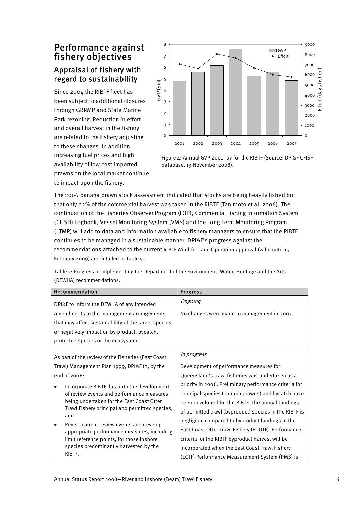# Performance against fishery objectives Appraisal of fishery with regard to sustainability

Since 2004 the RIBTF fleet has been subject to additional c losures through GBRMP and State Marine Park rezoning. Reduction in effort and overall harvest in the fishery are related to the fishery adjustin g to these changes. In addition increasing fuel prices and high availability of low cost imported prawns on the local market continue to impact upon the fishery.



Figure 4: Annual GVP 2001–07 for the RIBTF (Source: DPI&F CFISH database, 13 November 2008).

The 2006 banana prawn stock assessment indicated that stocks are being heavily fished but that only 22% of the commercial harvest was taken in the RIBTF (Tanimoto et al. 2006). The continuation of the Fisheries Observer Program (FOP), Commercial Fishing Information System (CFISH) Logbook, Vessel Monitoring System (VMS) and the Long Term Monitoring Program (LTMP) will add to data and information available to fishery managers to ensure that the RIBTF continues to be managed in a sustainable manner. DPI&F's progress against the recommendations attached to the current RIBTF Wildlife Trade Operation approval (valid until 15 February 2009) are detailed in Table 5.

| Recommendation                                        | <b>Progress</b>                                        |  |
|-------------------------------------------------------|--------------------------------------------------------|--|
| DPI&F to inform the DEWHA of any intended             | Ongoing                                                |  |
| amendments to the management arrangements             | No changes were made to management in 2007.            |  |
| that may affect sustainability of the target species  |                                                        |  |
| or negatively impact on by-product, bycatch,          |                                                        |  |
| protected species or the ecosystem.                   |                                                        |  |
| As part of the review of the Fisheries (East Coast    | In progress                                            |  |
| Trawl) Management Plan 1999, DPI&F to, by the         | Development of performance measures for                |  |
| end of 2006:                                          | Queensland's trawl fisheries was undertaken as a       |  |
| Incorporate RIBTF data into the development           | priority in 2006. Preliminary performance criteria for |  |
| of review events and performance measures             | principal species (banana prawns) and bycatch have     |  |
| being undertaken for the East Coast Otter             | been developed for the RIBTF. The annual landings      |  |
| Trawl Fishery principal and permitted species;<br>and | of permitted trawl (byproduct) species in the RIBTF is |  |
| Revise current review events and develop              | negligible compared to byproduct landings in the       |  |
| appropriate performance measures, including           | East Coast Otter Trawl Fishery (ECOTF). Performance    |  |
| limit reference points, for those inshore             | criteria for the RIBTF byproduct harvest will be       |  |
| species predominantly harvested by the                | incorporated when the East Coast Trawl Fishery         |  |
| RIBTF.                                                | (ECTF) Performance Measurement System (PMS) is         |  |

Table 5: Progress in implementing the Department of the Environment, Water, Heritage and the Arts (DEWHA) recommendations.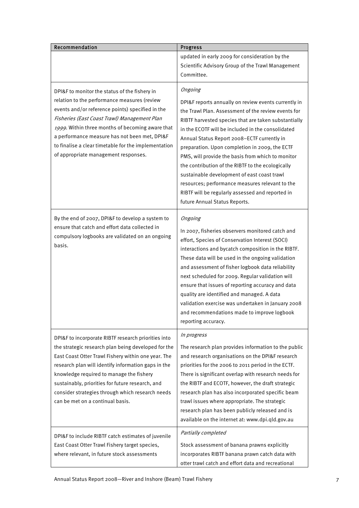| Recommendation                                                                                                                                                                                                                                                                                                                                                                                                   | <b>Progress</b>                                                                                                                                                                                                                                                                                                                                                                                                                                                                                                                                                                                                                       |
|------------------------------------------------------------------------------------------------------------------------------------------------------------------------------------------------------------------------------------------------------------------------------------------------------------------------------------------------------------------------------------------------------------------|---------------------------------------------------------------------------------------------------------------------------------------------------------------------------------------------------------------------------------------------------------------------------------------------------------------------------------------------------------------------------------------------------------------------------------------------------------------------------------------------------------------------------------------------------------------------------------------------------------------------------------------|
|                                                                                                                                                                                                                                                                                                                                                                                                                  | updated in early 2009 for consideration by the<br>Scientific Advisory Group of the Trawl Management<br>Committee.                                                                                                                                                                                                                                                                                                                                                                                                                                                                                                                     |
| DPI&F to monitor the status of the fishery in<br>relation to the performance measures (review<br>events and/or reference points) specified in the<br>Fisheries (East Coast Trawl) Management Plan<br>1999. Within three months of becoming aware that<br>a performance measure has not been met, DPI&F<br>to finalise a clear timetable for the implementation<br>of appropriate management responses.           | Ongoing<br>DPI&F reports annually on review events currently in<br>the Trawl Plan. Assessment of the review events for<br>RIBTF harvested species that are taken substantially<br>in the ECOTF will be included in the consolidated<br>Annual Status Report 2008-ECTF currently in<br>preparation. Upon completion in 2009, the ECTF<br>PMS, will provide the basis from which to monitor<br>the contribution of the RIBTF to the ecologically<br>sustainable development of east coast trawl<br>resources; performance measures relevant to the<br>RIBTF will be regularly assessed and reported in<br>future Annual Status Reports. |
| By the end of 2007, DPI&F to develop a system to<br>ensure that catch and effort data collected in<br>compulsory logbooks are validated on an ongoing<br>basis.                                                                                                                                                                                                                                                  | Ongoing<br>In 2007, fisheries observers monitored catch and<br>effort, Species of Conservation Interest (SOCI)<br>interactions and bycatch composition in the RIBTF.<br>These data will be used in the ongoing validation<br>and assessment of fisher logbook data reliability<br>next scheduled for 2009. Regular validation will<br>ensure that issues of reporting accuracy and data<br>quality are identified and managed. A data<br>validation exercise was undertaken in January 2008<br>and recommendations made to improve logbook<br>reporting accuracy.                                                                     |
| DPI&F to incorporate RIBTF research priorities into<br>the strategic research plan being developed for the<br>East Coast Otter Trawl Fishery within one year. The<br>research plan will identify information gaps in the<br>knowledge required to manage the fishery<br>sustainably, priorities for future research, and<br>consider strategies through which research needs<br>can be met on a continual basis. | In progress<br>The research plan provides information to the public<br>and research organisations on the DPI&F research<br>priorities for the 2006 to 2011 period in the ECTF.<br>There is significant overlap with research needs for<br>the RIBTF and ECOTF, however, the draft strategic<br>research plan has also incorporated specific beam<br>trawl issues where appropriate. The strategic<br>research plan has been publicly released and is<br>available on the internet at: www.dpi.qld.gov.au                                                                                                                              |
| DPI&F to include RIBTF catch estimates of juvenile<br>East Coast Otter Trawl Fishery target species,<br>where relevant, in future stock assessments                                                                                                                                                                                                                                                              | Partially completed<br>Stock assessment of banana prawns explicitly<br>incorporates RIBTF banana prawn catch data with<br>otter trawl catch and effort data and recreational                                                                                                                                                                                                                                                                                                                                                                                                                                                          |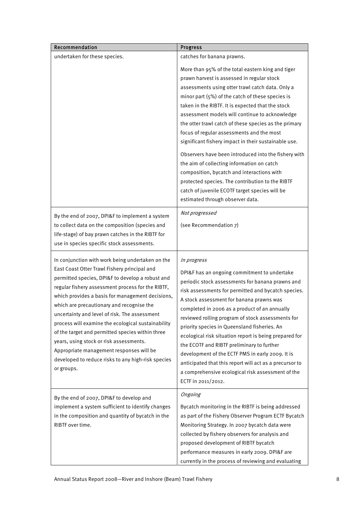| Recommendation                                                                                                                                                                                                                                                                                                                                                                                                                                                                                                                                                                                                                   | <b>Progress</b>                                                                                                                                                                                                                                                                                                                                                                                                                                                                                                                                                                                                                                                                                                                                                            |
|----------------------------------------------------------------------------------------------------------------------------------------------------------------------------------------------------------------------------------------------------------------------------------------------------------------------------------------------------------------------------------------------------------------------------------------------------------------------------------------------------------------------------------------------------------------------------------------------------------------------------------|----------------------------------------------------------------------------------------------------------------------------------------------------------------------------------------------------------------------------------------------------------------------------------------------------------------------------------------------------------------------------------------------------------------------------------------------------------------------------------------------------------------------------------------------------------------------------------------------------------------------------------------------------------------------------------------------------------------------------------------------------------------------------|
| undertaken for these species.                                                                                                                                                                                                                                                                                                                                                                                                                                                                                                                                                                                                    | catches for banana prawns.                                                                                                                                                                                                                                                                                                                                                                                                                                                                                                                                                                                                                                                                                                                                                 |
|                                                                                                                                                                                                                                                                                                                                                                                                                                                                                                                                                                                                                                  | More than 95% of the total eastern king and tiger<br>prawn harvest is assessed in regular stock<br>assessments using otter trawl catch data. Only a<br>minor part (5%) of the catch of these species is<br>taken in the RIBTF. It is expected that the stock<br>assessment models will continue to acknowledge<br>the otter trawl catch of these species as the primary<br>focus of regular assessments and the most<br>significant fishery impact in their sustainable use.<br>Observers have been introduced into the fishery with<br>the aim of collecting information on catch<br>composition, bycatch and interactions with<br>protected species. The contribution to the RIBTF<br>catch of juvenile ECOTF target species will be<br>estimated through observer data. |
| By the end of 2007, DPI&F to implement a system<br>to collect data on the composition (species and<br>life-stage) of bay prawn catches in the RIBTF for<br>use in species specific stock assessments.                                                                                                                                                                                                                                                                                                                                                                                                                            | Not progressed<br>(see Recommendation 7)                                                                                                                                                                                                                                                                                                                                                                                                                                                                                                                                                                                                                                                                                                                                   |
| In conjunction with work being undertaken on the<br>East Coast Otter Trawl Fishery principal and<br>permitted species, DPI&F to develop a robust and<br>regular fishery assessment process for the RIBTF,<br>which provides a basis for management decisions,<br>which are precautionary and recognise the<br>uncertainty and level of risk. The assessment<br>process will examine the ecological sustainability<br>of the target and permitted species within three<br>years, using stock or risk assessments.<br>Appropriate management responses will be<br>developed to reduce risks to any high-risk species<br>or groups. | In progress<br>DPI&F has an ongoing commitment to undertake<br>periodic stock assessments for banana prawns and<br>risk assessments for permitted and bycatch species.<br>A stock assessment for banana prawns was<br>completed in 2006 as a product of an annually<br>reviewed rolling program of stock assessments for<br>priority species in Queensland fisheries. An<br>ecological risk situation report is being prepared for<br>the ECOTF and RIBTF preliminary to further<br>development of the ECTF PMS in early 2009. It is<br>anticipated that this report will act as a precursor to<br>a comprehensive ecological risk assessment of the<br>ECTF in 2011/2012.                                                                                                 |
| By the end of 2007, DPI&F to develop and<br>implement a system sufficient to identify changes<br>in the composition and quantity of bycatch in the<br>RIBTF over time.                                                                                                                                                                                                                                                                                                                                                                                                                                                           | Ongoing<br>Bycatch monitoring in the RIBTF is being addressed<br>as part of the Fishery Observer Program ECTF Bycatch<br>Monitoring Strategy. In 2007 bycatch data were<br>collected by fishery observers for analysis and<br>proposed development of RIBTF bycatch<br>performance measures in early 2009. DPI&F are<br>currently in the process of reviewing and evaluating                                                                                                                                                                                                                                                                                                                                                                                               |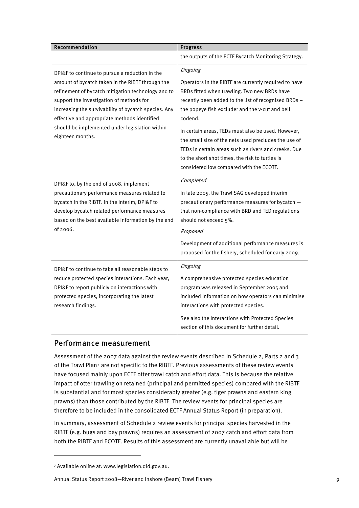| Recommendation                                                                                                                                                                                                                                                                                                                                                                     | Progress                                                                                                                                                                                                                                                                                                                                                                                                                                                                                                   |
|------------------------------------------------------------------------------------------------------------------------------------------------------------------------------------------------------------------------------------------------------------------------------------------------------------------------------------------------------------------------------------|------------------------------------------------------------------------------------------------------------------------------------------------------------------------------------------------------------------------------------------------------------------------------------------------------------------------------------------------------------------------------------------------------------------------------------------------------------------------------------------------------------|
|                                                                                                                                                                                                                                                                                                                                                                                    | the outputs of the ECTF Bycatch Monitoring Strategy.                                                                                                                                                                                                                                                                                                                                                                                                                                                       |
| DPI&F to continue to pursue a reduction in the<br>amount of bycatch taken in the RIBTF through the<br>refinement of bycatch mitigation technology and to<br>support the investigation of methods for<br>increasing the survivability of bycatch species. Any<br>effective and appropriate methods identified<br>should be implemented under legislation within<br>eighteen months. | Ongoing<br>Operators in the RIBTF are currently required to have<br>BRDs fitted when trawling. Two new BRDs have<br>recently been added to the list of recognised BRDs -<br>the popeye fish excluder and the v-cut and bell<br>codend.<br>In certain areas, TEDs must also be used. However,<br>the small size of the nets used precludes the use of<br>TEDs in certain areas such as rivers and creeks. Due<br>to the short shot times, the risk to turtles is<br>considered low compared with the ECOTF. |
| DPI&F to, by the end of 2008, implement<br>precautionary performance measures related to<br>bycatch in the RIBTF. In the interim, DPI&F to<br>develop bycatch related performance measures<br>based on the best available information by the end<br>of 2006.                                                                                                                       | Completed<br>In late 2005, the Trawl SAG developed interim<br>precautionary performance measures for bycatch -<br>that non-compliance with BRD and TED regulations<br>should not exceed 5%.<br>Proposed<br>Development of additional performance measures is<br>proposed for the fishery, scheduled for early 2009.                                                                                                                                                                                        |
| DPI&F to continue to take all reasonable steps to<br>reduce protected species interactions. Each year,<br>DPI&F to report publicly on interactions with<br>protected species, incorporating the latest<br>research findings.                                                                                                                                                       | Ongoing<br>A comprehensive protected species education<br>program was released in September 2005 and<br>included information on how operators can minimise<br>interactions with protected species.<br>See also the Interactions with Protected Species<br>section of this document for further detail.                                                                                                                                                                                                     |

## Performance measurement

Assessment of the 2007 data against the review events described in Schedule 2, Parts 2 and 3 of the Trawl Plan[7](#page-9-0) are not specific to the RIBTF. Previous assessments of these review events have focused mainly upon ECTF otter trawl catch and effort data. This is because the relative impact of otter trawling on retained (principal and permitted species) compared with the RIBTF is substantial and for most species considerably greater (e.g. tiger prawns and eastern king prawns) than those contributed by the RIBTF. The review events for principal species are therefore to be included in the consolidated ECTF Annual Status Report (in preparation).

In summary, assessment of Schedule 2 review events for principal species harvested in the RIBTF (e.g. bugs and bay prawns) requires an assessment of 2007 catch and effort data from both the RIBTF and ECOTF. Results of this assessment are currently unavailable but will be

Annual Status Report 2008—River and Inshore (Beam) Trawl Fishery 9

<span id="page-9-0"></span><sup>7</sup> Available online at: www.legislation.qld.gov.au.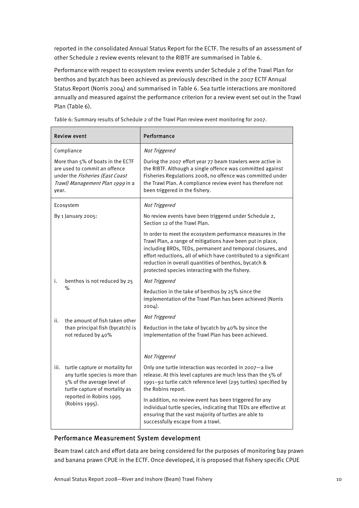reported in the consolidated Annual Status Report for the ECTF. The results of an assessment of other Schedule 2 review events relevant to the RIBTF are summarised in Table 6.

Performance with respect to ecosystem review events under Schedule 2 of the Trawl Plan for benthos and bycatch has been achieved as previously described in the 2007 ECTF Annual Status Report (Norris 2004) and summarised in Table 6. Sea turtle interactions are monitored annually and measured against the performance criterion for a review event set out in the Trawl Plan (Table 6).

|                                                                                                                                                    | Review event                                                                                                                       | Performance                                                                                                                                                                                                                                                                                                                                                             |
|----------------------------------------------------------------------------------------------------------------------------------------------------|------------------------------------------------------------------------------------------------------------------------------------|-------------------------------------------------------------------------------------------------------------------------------------------------------------------------------------------------------------------------------------------------------------------------------------------------------------------------------------------------------------------------|
|                                                                                                                                                    | Compliance                                                                                                                         | Not Triggered                                                                                                                                                                                                                                                                                                                                                           |
| More than 5% of boats in the ECTF<br>are used to commit an offence<br>under the Fisheries (East Coast<br>Trawl) Management Plan 1999 in a<br>year. |                                                                                                                                    | During the 2007 effort year 77 beam trawlers were active in<br>the RIBTF. Although a single offence was committed against<br>Fisheries Regulations 2008, no offence was committed under<br>the Trawl Plan. A compliance review event has therefore not<br>been triggered in the fishery.                                                                                |
|                                                                                                                                                    | Ecosystem                                                                                                                          | Not Triggered                                                                                                                                                                                                                                                                                                                                                           |
|                                                                                                                                                    | By 1 January 2005:                                                                                                                 | No review events have been triggered under Schedule 2,<br>Section 12 of the Trawl Plan.                                                                                                                                                                                                                                                                                 |
|                                                                                                                                                    |                                                                                                                                    | In order to meet the ecosystem performance measures in the<br>Trawl Plan, a range of mitigations have been put in place,<br>including BRDs, TEDs, permanent and temporal closures, and<br>effort reductions, all of which have contributed to a significant<br>reduction in overall quantities of benthos, bycatch &<br>protected species interacting with the fishery. |
| i.                                                                                                                                                 | benthos is not reduced by 25                                                                                                       | Not Triggered                                                                                                                                                                                                                                                                                                                                                           |
| $\%$                                                                                                                                               |                                                                                                                                    | Reduction in the take of benthos by 25% since the<br>implementation of the Trawl Plan has been achieved (Norris<br>2004).                                                                                                                                                                                                                                               |
| ii.                                                                                                                                                | the amount of fish taken other                                                                                                     | Not Triggered                                                                                                                                                                                                                                                                                                                                                           |
|                                                                                                                                                    | than principal fish (bycatch) is<br>not reduced by 40%                                                                             | Reduction in the take of bycatch by 40% by since the<br>implementation of the Trawl Plan has been achieved.                                                                                                                                                                                                                                                             |
|                                                                                                                                                    |                                                                                                                                    | Not Triggered                                                                                                                                                                                                                                                                                                                                                           |
| iii.                                                                                                                                               | turtle capture or mortality for<br>any turtle species is more than<br>5% of the average level of<br>turtle capture of mortality as | Only one turtle interaction was recorded in 2007-a live<br>release. At this level captures are much less than the 5% of<br>1991-92 turtle catch reference level (295 turtles) specified by<br>the Robins report.                                                                                                                                                        |
| reported in Robins 1995<br>(Robins 1995).                                                                                                          |                                                                                                                                    | In addition, no review event has been triggered for any<br>individual turtle species, indicating that TEDs are effective at<br>ensuring that the vast majority of turtles are able to<br>successfully escape from a trawl.                                                                                                                                              |

Table 6: Summary results of Schedule 2 of the Trawl Plan review event monitoring for 2007.

#### Performance Measurement System development

Beam trawl catch and effort data are being considered for the purposes of monitoring bay prawn and banana prawn CPUE in the ECTF. Once developed, it is proposed that fishery specific CPUE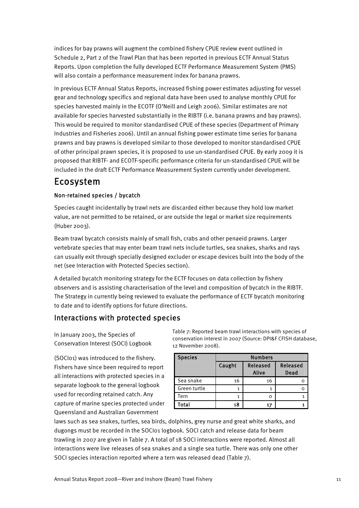indices for bay prawns will augment the combined fishery CPUE review event outlined in Schedule 2, Part 2 of the Trawl Plan that has been reported in previous ECTF Annual Status Reports. Upon completion the fully developed ECTF Performance Measurement System (PMS) will also contain a performance measurement index for banana prawns.

In previous ECTF Annual Status Reports, increased fishing power estimates adjusting for vessel gear and technology specifics and regional data have been used to analyse monthly CPUE for species harvested mainly in the ECOTF (O'Neill and Leigh 2006). Similar estimates are not available for species harvested substantially in the RIBTF (i.e. banana prawns and bay prawns). This would be required to monitor standardised CPUE of these species (Department of Primary Industries and Fisheries 2006). Until an annual fishing power estimate time series for banana prawns and bay prawns is developed similar to those developed to monitor standardised CPUE of other principal prawn species, it is proposed to use un-standardised CPUE. By early 2009 it is proposed that RIBTF- and ECOTF-specific performance criteria for un-standardised CPUE will be included in the draft ECTF Performance Measurement System currently under development.

# Ecosystem

#### Non-retained species / bycatch

Species caught incidentally by trawl nets are discarded either because they hold low market value, are not permitted to be retained, or are outside the legal or market size requirements (Huber 2003).

Beam trawl bycatch consists mainly of small fish, crabs and other penaeid prawns. Larger vertebrate species that may enter beam trawl nets include turtles, sea snakes, sharks and rays can usually exit through specially designed excluder or escape devices built into the body of the net (see Interaction with Protected Species section).

A detailed bycatch monitoring strategy for the ECTF focuses on data collection by fishery observers and is assisting characterisation of the level and composition of bycatch in the RIBTF. The Strategy in currently being reviewed to evaluate the performance of ECTF bycatch monitoring to date and to identify options for future directions.

## Interactions with protected species

In January 2003, the Species of Conservation Interest (SOCI) Logbook

(SOCI01) was introduced to the fishery. Fishers have since been required to report all interactions with protected species in a separate logbook to the general logbook used for recording retained catch. Any capture of marine species protected under Queensland and Australian Government

Table 7: Reported beam trawl interactions with species of conservation interest in 2007 (Source: DPI&F CFISH database, 12 November 2008).

| <b>Species</b> | <b>Numbers</b> |                   |                  |  |  |
|----------------|----------------|-------------------|------------------|--|--|
|                | Caught         | Released<br>Alive | Released<br>Dead |  |  |
| Sea snake      | 16             | 16                |                  |  |  |
| Green turtle   |                |                   |                  |  |  |
| Tern           |                |                   |                  |  |  |
| Total          | 18             | 17                |                  |  |  |

laws such as sea snakes, turtles, sea birds, dolphins, grey nurse and great white sharks, and dugongs must be recorded in the SOCI01 logbook. SOCI catch and release data for beam trawling in 2007 are given in Table 7. A total of 18 SOCI interactions were reported. Almost all interactions were live releases of sea snakes and a single sea turtle. There was only one other SOCI species interaction reported where a tern was released dead (Table 7).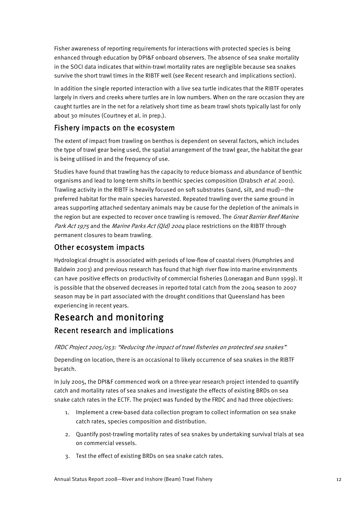Fisher awareness of reporting requirements for interactions with protected species is being enhanced through education by DPI&F onboard observers. The absence of sea snake mortality in the SOCI data indicates that within-trawl mortality rates are negligible because sea snakes survive the short trawl times in the RIBTF well (see Recent research and implications section).

In addition the single reported interaction with a live sea turtle indicates that the RIBTF operates largely in rivers and creeks where turtles are in low numbers. When on the rare occasion they are caught turtles are in the net for a relatively short time as beam trawl shots typically last for only about 30 minutes (Courtney et al. in prep.).

## Fishery impacts on the ecosystem

The extent of impact from trawling on benthos is dependent on several factors, which includes the type of trawl gear being used, the spatial arrangement of the trawl gear, the habitat the gear is being utilised in and the frequency of use.

Studies have found that trawling has the capacity to reduce biomass and abundance of benthic organisms and lead to long-term shifts in benthic species composition (Drabsch et al. 2001). Trawling activity in the RIBTF is heavily focused on soft substrates (sand, silt, and mud)—the preferred habitat for the main species harvested. Repeated trawling over the same ground in areas supporting attached sedentary animals may be cause for the depletion of the animals in the region but are expected to recover once trawling is removed. The Great Barrier Reef Marine Park Act 1975 and the Marine Parks Act (Qld) 2004 place restrictions on the RIBTF through permanent closures to beam trawling.

## Other ecosystem impacts

Hydrological drought is associated with periods of low-flow of coastal rivers (Humphries and Baldwin 2003) and previous research has found that high river flow into marine environments can have positive effects on productivity of commercial fisheries (Loneragan and Bunn 1999). It is possible that the observed decreases in reported total catch from the 2004 season to 2007 season may be in part associated with the drought conditions that Queensland has been experiencing in recent years.

# Research and monitoring Recent research and implications

#### FRDC Project 2005/053: "Reducing the impact of trawl fisheries on protected sea snakes"

Depending on location, there is an occasional to likely occurrence of sea snakes in the RIBTF bycatch.

In July 2005, the DPI&F commenced work on a three-year research project intended to quantify catch and mortality rates of sea snakes and investigate the effects of existing BRDs on sea snake catch rates in the ECTF. The project was funded by the FRDC and had three objectives:

- 1. Implement a crew-based data collection program to collect information on sea snake catch rates, species composition and distribution.
- 2. Quantify post-trawling mortality rates of sea snakes by undertaking survival trials at sea on commercial vessels.
- 3. Test the effect of existing BRDs on sea snake catch rates.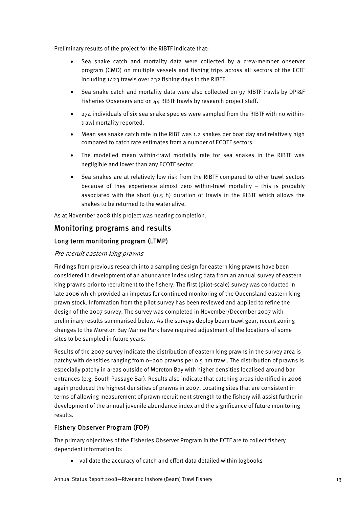Preliminary results of the project for the RIBTF indicate that:

- Sea snake catch and mortality data were collected by a crew-member observer program (CMO) on multiple vessels and fishing trips across all sectors of the ECTF including 1423 trawls over 232 fishing days in the RIBTF.
- Sea snake catch and mortality data were also collected on 97 RIBTF trawls by DPI&F Fisheries Observers and on 44 RIBTF trawls by research project staff.
- 274 individuals of six sea snake species were sampled from the RIBTF with no withintrawl mortality reported.
- Mean sea snake catch rate in the RIBT was 1.2 snakes per boat day and relatively high compared to catch rate estimates from a number of ECOTF sectors.
- The modelled mean within-trawl mortality rate for sea snakes in the RIBTF was negligible and lower than any ECOTF sector.
- Sea snakes are at relatively low risk from the RIBTF compared to other trawl sectors because of they experience almost zero within-trawl mortality – this is probably associated with the short (0.5 h) duration of trawls in the RIBTF which allows the snakes to be returned to the water alive.

As at November 2008 this project was nearing completion.

### Monitoring programs and results

#### Long term monitoring program (LTMP)

#### Pre-recruit eastern king prawns

Findings from previous research into a sampling design for eastern king prawns have been considered in development of an abundance index using data from an annual survey of eastern king prawns prior to recruitment to the fishery. The first (pilot-scale) survey was conducted in late 2006 which provided an impetus for continued monitoring of the Queensland eastern king prawn stock. Information from the pilot survey has been reviewed and applied to refine the design of the 2007 survey. The survey was completed in November/December 2007 with preliminary results summarised below. As the surveys deploy beam trawl gear, recent zoning changes to the Moreton Bay Marine Park have required adjustment of the locations of some sites to be sampled in future years.

Results of the 2007 survey indicate the distribution of eastern king prawns in the survey area is patchy with densities ranging from 0–200 prawns per 0.5 nm trawl. The distribution of prawns is especially patchy in areas outside of Moreton Bay with higher densities localised around bar entrances (e.g. South Passage Bar). Results also indicate that catching areas identified in 2006 again produced the highest densities of prawns in 2007. Locating sites that are consistent in terms of allowing measurement of prawn recruitment strength to the fishery will assist further in development of the annual juvenile abundance index and the significance of future monitoring results.

#### Fishery Observer Program (FOP)

The primary objectives of the Fisheries Observer Program in the ECTF are to collect fishery dependent information to:

• validate the accuracy of catch and effort data detailed within logbooks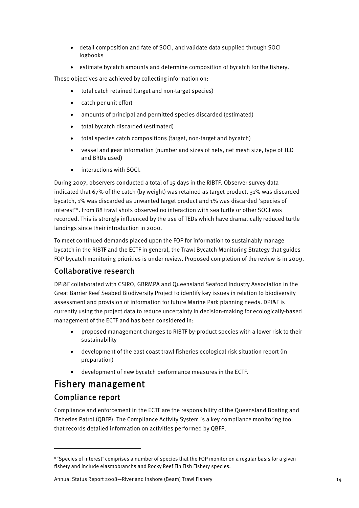- detail composition and fate of SOCI, and validate data supplied through SOCI logbooks
- estimate bycatch amounts and determine composition of bycatch for the fishery.

These objectives are achieved by collecting information on:

- total catch retained (target and non-target species)
- catch per unit effort
- amounts of principal and permitted species discarded (estimated)
- total bycatch discarded (estimated)
- total species catch compositions (target, non-target and bycatch)
- vessel and gear information (number and sizes of nets, net mesh size, type of TED and BRDs used)
- interactions with SOCI.

During 2007, observers conducted a total of 15 days in the RIBTF. Observer survey data indicated that 67% of the catch (by weight) was retained as target product, 31% was discarded bycatch, 1% was discarded as unwanted target product and 1% was discarded 'species of interest'[8](#page-14-0). From 88 trawl shots observed no interaction with sea turtle or other SOCI was recorded. This is strongly influenced by the use of TEDs which have dramatically reduced turtle landings since their introduction in 2000.

To meet continued demands placed upon the FOP for information to sustainably manage bycatch in the RIBTF and the ECTF in general, the Trawl Bycatch Monitoring Strategy that guides FOP bycatch monitoring priorities is under review. Proposed completion of the review is in 2009.

# Collaborative research

DPI&F collaborated with CSIRO, GBRMPA and Queensland Seafood Industry Association in the Great Barrier Reef Seabed Biodiversity Project to identify key issues in relation to biodiversity assessment and provision of information for future Marine Park planning needs. DPI&F is currently using the project data to reduce uncertainty in decision-making for ecologically-based management of the ECTF and has been considered in:

- proposed management changes to RIBTF by-product species with a lower risk to their sustainability
- development of the east coast trawl fisheries ecological risk situation report (in preparation)
- development of new bycatch performance measures in the ECTF.

# Fishery management

## Compliance report

Compliance and enforcement in the ECTF are the responsibility of the Queensland Boating and Fisheries Patrol (QBFP). The Compliance Activity System is a key compliance monitoring tool that records detailed information on activities performed by QBFP.

<span id="page-14-0"></span><sup>8 &#</sup>x27;Species of interest' comprises a number of species that the FOP monitor on a regular basis for a given fishery and include elasmobranchs and Rocky Reef Fin Fish Fishery species.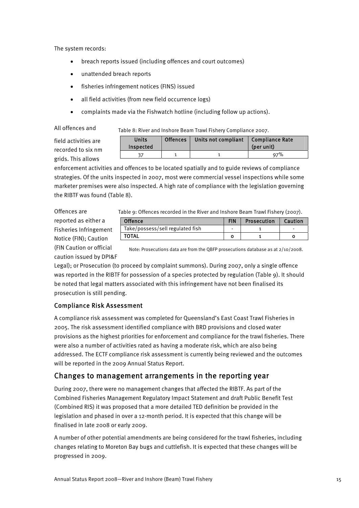The system records:

- breach reports issued (including offences and court outcomes)
- unattended breach reports
- fisheries infringement notices (FINS) issued
- all field activities (from new field occurrence logs)
- complaints made via the Fishwatch hotline (including follow up actions).

All offences and

grids. This allows

Table 8: River and Inshore Beam Trawl Fishery Compliance 2007.

| field activities are     | <b>Units</b> | <b>Offences</b> | Units not compliant | <b>Compliance Rate</b> |
|--------------------------|--------------|-----------------|---------------------|------------------------|
| recorded to six nm       | Inspected    |                 |                     | (per unit)             |
|                          |              |                 |                     | 97%                    |
| <i>oride</i> This allows |              |                 |                     |                        |

enforcement activities and offences to be located spatially and to guide reviews of compliance strategies. Of the units inspected in 2007, most were commercial vessel inspections while some marketer premises were also inspected. A high rate of compliance with the legislation governing the RIBTF was found (Table 8).

Offences are reported as either a Fisheries Infringement Notice (FIN); Caution (FIN Caution or official caution issued by DPI&F

| Offence                          | <b>FIN</b> | Prosecution | Caution |
|----------------------------------|------------|-------------|---------|
| Take/possess/sell regulated fish |            |             |         |
| <b>TOTAL</b>                     |            |             |         |

Note: Prosecutions data are from the QBFP prosecutions database as at 2/10/2008.

Legal); or Prosecution (to proceed by complaint summons). During 2007, only a single offence was reported in the RIBTF for possession of a species protected by regulation (Table 9). It should be noted that legal matters associated with this infringement have not been finalised its prosecution is still pending.

### Compliance Risk Assessment

A compliance risk assessment was completed for Queensland's East Coast Trawl Fisheries in 2005. The risk assessment identified compliance with BRD provisions and closed water provisions as the highest priorities for enforcement and compliance for the trawl fisheries. There were also a number of activities rated as having a moderate risk, which are also being addressed. The ECTF compliance risk assessment is currently being reviewed and the outcomes will be reported in the 2009 Annual Status Report.

# Changes to management arrangements in the reporting year

During 2007, there were no management changes that affected the RIBTF. As part of the Combined Fisheries Management Regulatory Impact Statement and draft Public Benefit Test (Combined RIS) it was proposed that a more detailed TED definition be provided in the legislation and phased in over a 12-month period. It is expected that this change will be finalised in late 2008 or early 2009.

A number of other potential amendments are being considered for the trawl fisheries, including changes relating to Moreton Bay bugs and cuttlefish. It is expected that these changes will be progressed in 2009.